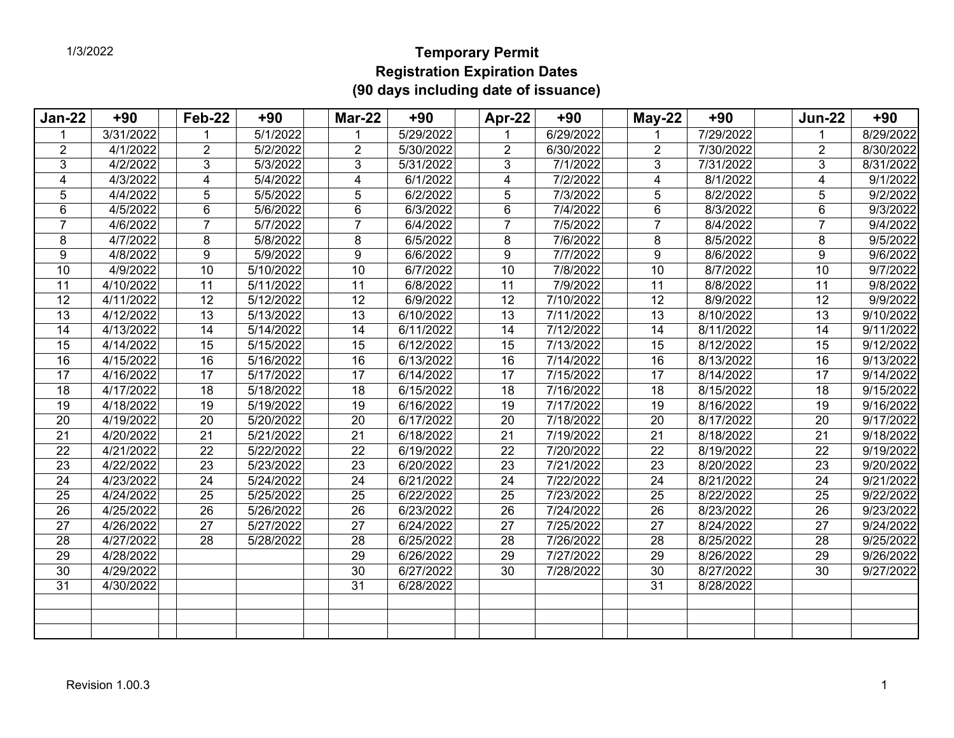## **Temporary Permit Registration Expiration Dates (90 days including date of issuance)**

| <b>Jan-22</b>   | $+90$                  | Feb-22          | $+90$             | <b>Mar-22</b>   | $+90$                  | Apr-22          | $+90$     | $May-22$        | $+90$     | <b>Jun-22</b>   | $+90$                 |
|-----------------|------------------------|-----------------|-------------------|-----------------|------------------------|-----------------|-----------|-----------------|-----------|-----------------|-----------------------|
|                 | 3/31/2022              |                 | 5/1/2022          | 1               | 5/29/2022              | 1               | 6/29/2022 |                 | 7/29/2022 | 1               | 8/29/2022             |
| 2               | 4/1/2022               | $\overline{2}$  | 5/2/2022          | 2               | 5/30/2022              | $\overline{2}$  | 6/30/2022 | 2               | 7/30/2022 | 2               | 8/30/2022             |
| 3               | 4/2/2022               | 3               | 5/3/2022          | 3               | 5/31/2022              | 3               | 7/1/2022  | 3               | 7/31/2022 | 3               | 8/31/2022             |
| 4               | 4/3/2022               | 4               | $\sqrt{5/4/2022}$ | $\overline{4}$  | 6/1/2022               | 4               | 7/2/2022  | 4               | 8/1/2022  | 4               | $\overline{9/1/2022}$ |
| 5               | 4/4/2022               | 5               | 5/5/2022          | 5               | 6/2/2022               | 5               | 7/3/2022  | 5               | 8/2/2022  | 5               | 9/2/2022              |
| $6\phantom{1}$  | 4/5/2022               | 6               | 5/6/2022          | $\,6\,$         | 6/3/2022               | 6               | 7/4/2022  | 6               | 8/3/2022  | 6               | 9/3/2022              |
| $\overline{7}$  | 4/6/2022               | 7               | 5/7/2022          | $\overline{7}$  | 6/4/2022               | $\overline{7}$  | 7/5/2022  | 7               | 8/4/2022  | 7               | 9/4/2022              |
| 8               | 4/7/2022               | 8               | 5/8/2022          | 8               | 6/5/2022               | 8               | 7/6/2022  | 8               | 8/5/2022  | 8               | 9/5/2022              |
| 9               | 4/8/2022               | 9               | 5/9/2022          | 9               | 6/6/2022               | 9               | 7/7/2022  | 9               | 8/6/2022  | 9               | 9/6/2022              |
| 10              | 4/9/2022               | 10              | 5/10/2022         | 10              | 6/7/2022               | 10              | 7/8/2022  | $\overline{10}$ | 8/7/2022  | $\overline{10}$ | 9/7/2022              |
| 11              | $\overline{4/10/2022}$ | 11              | 5/11/2022         | 11              | $\sqrt{6/8/2022}$      | 11              | 7/9/2022  | 11              | 8/8/2022  | 11              | 9/8/2022              |
| 12              | 4/11/2022              | 12              | 5/12/2022         | $\overline{12}$ | 6/9/2022               | 12              | 7/10/2022 | $\overline{12}$ | 8/9/2022  | $\overline{12}$ | 9/9/2022              |
| $\overline{13}$ | 4/12/2022              | 13              | 5/13/2022         | $\overline{13}$ | 6/10/2022              | 13              | 7/11/2022 | $\overline{13}$ | 8/10/2022 | $\overline{13}$ | 9/10/2022             |
| 14              | 4/13/2022              | 14              | 5/14/2022         | 14              | 6/11/2022              | $\overline{14}$ | 7/12/2022 | 14              | 8/11/2022 | $\overline{14}$ | 9/11/2022             |
| 15              | 4/14/2022              | 15              | 5/15/2022         | 15              | 6/12/2022              | 15              | 7/13/2022 | 15              | 8/12/2022 | 15              | 9/12/2022             |
| 16              | 4/15/2022              | 16              | 5/16/2022         | 16              | 6/13/2022              | 16              | 7/14/2022 | 16              | 8/13/2022 | 16              | 9/13/2022             |
| 17              | 4/16/2022              | $\overline{17}$ | 5/17/2022         | $\overline{17}$ | 6/14/2022              | $\overline{17}$ | 7/15/2022 | $\overline{17}$ | 8/14/2022 | $\overline{17}$ | 9/14/2022             |
| 18              | 4/17/2022              | 18              | 5/18/2022         | 18              | 6/15/2022              | 18              | 7/16/2022 | 18              | 8/15/2022 | 18              | 9/15/2022             |
| 19              | 4/18/2022              | 19              | 5/19/2022         | 19              | 6/16/2022              | 19              | 7/17/2022 | 19              | 8/16/2022 | 19              | 9/16/2022             |
| 20              | 4/19/2022              | 20              | 5/20/2022         | 20              | 6/17/2022              | 20              | 7/18/2022 | 20              | 8/17/2022 | 20              | 9/17/2022             |
| 21              | 4/20/2022              | $\overline{21}$ | 5/21/2022         | 21              | 6/18/2022              | $\overline{21}$ | 7/19/2022 | $\overline{21}$ | 8/18/2022 | $\overline{21}$ | 9/18/2022             |
| 22              | 4/21/2022              | 22              | 5/22/2022         | $\overline{22}$ | 6/19/2022              | 22              | 7/20/2022 | 22              | 8/19/2022 | 22              | 9/19/2022             |
| 23              | 4/22/2022              | 23              | 5/23/2022         | 23              | 6/20/2022              | 23              | 7/21/2022 | 23              | 8/20/2022 | 23              | 9/20/2022             |
| 24              | 4/23/2022              | 24              | 5/24/2022         | 24              | 6/21/2022              | 24              | 7/22/2022 | 24              | 8/21/2022 | 24              | 9/21/2022             |
| 25              | 4/24/2022              | 25              | 5/25/2022         | 25              | 6/22/2022              | 25              | 7/23/2022 | 25              | 8/22/2022 | 25              | 9/22/2022             |
| 26              | 4/25/2022              | 26              | 5/26/2022         | 26              | 6/23/2022              | 26              | 7/24/2022 | 26              | 8/23/2022 | 26              | 9/23/2022             |
| 27              | 4/26/2022              | 27              | 5/27/2022         | $\overline{27}$ | $\overline{6/24/2022}$ | 27              | 7/25/2022 | 27              | 8/24/2022 | 27              | 9/24/2022             |
| 28              | 4/27/2022              | $\overline{28}$ | 5/28/2022         | 28              | 6/25/2022              | $\overline{28}$ | 7/26/2022 | $\overline{28}$ | 8/25/2022 | $\overline{28}$ | 9/25/2022             |
| 29              | 4/28/2022              |                 |                   | 29              | 6/26/2022              | 29              | 7/27/2022 | 29              | 8/26/2022 | 29              | 9/26/2022             |
| 30              | 4/29/2022              |                 |                   | 30              | 6/27/2022              | 30              | 7/28/2022 | 30              | 8/27/2022 | 30              | 9/27/2022             |
| 31              | 4/30/2022              |                 |                   | 31              | 6/28/2022              |                 |           | 31              | 8/28/2022 |                 |                       |
|                 |                        |                 |                   |                 |                        |                 |           |                 |           |                 |                       |
|                 |                        |                 |                   |                 |                        |                 |           |                 |           |                 |                       |
|                 |                        |                 |                   |                 |                        |                 |           |                 |           |                 |                       |